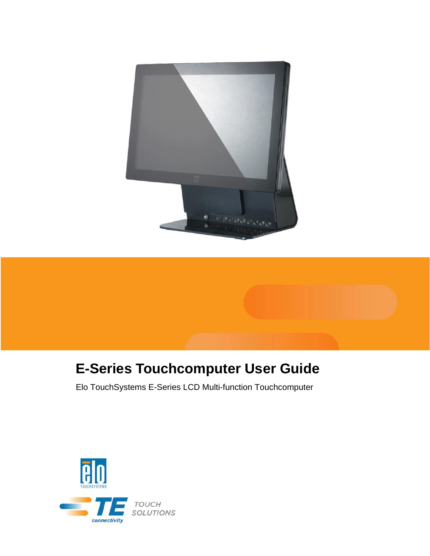



# **E-Series Touchcomputer User Guide**

Elo TouchSystems E-Series LCD Multi-function Touchcomputer

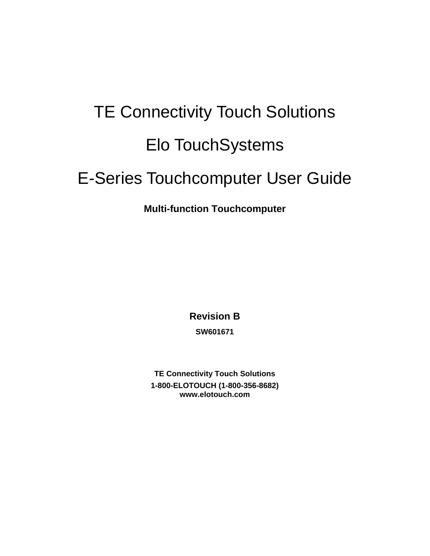# TE Connectivity Touch Solutions Elo TouchSystems E-Series Touchcomputer User Guide

# **Multi-function Touchcomputer**

**Revision B SW601671** 

**TE Connectivity Touch Solutions 1-800-ELOTOUCH (1-800-356-8682) www.elotouch.com**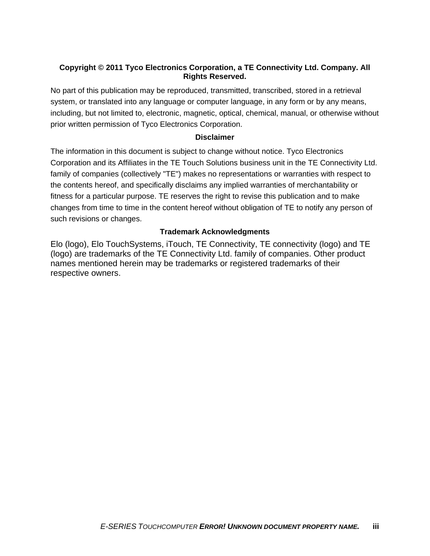### **Copyright © 2011 Tyco Electronics Corporation, a TE Connectivity Ltd. Company. All Rights Reserved.**

No part of this publication may be reproduced, transmitted, transcribed, stored in a retrieval system, or translated into any language or computer language, in any form or by any means, including, but not limited to, electronic, magnetic, optical, chemical, manual, or otherwise without prior written permission of Tyco Electronics Corporation.

### **Disclaimer**

The information in this document is subject to change without notice. Tyco Electronics Corporation and its Affiliates in the TE Touch Solutions business unit in the TE Connectivity Ltd. family of companies (collectively "TE") makes no representations or warranties with respect to the contents hereof, and specifically disclaims any implied warranties of merchantability or fitness for a particular purpose. TE reserves the right to revise this publication and to make changes from time to time in the content hereof without obligation of TE to notify any person of such revisions or changes.

### **Trademark Acknowledgments**

Elo (logo), Elo TouchSystems, iTouch, TE Connectivity, TE connectivity (logo) and TE (logo) are trademarks of the TE Connectivity Ltd. family of companies. Other product names mentioned herein may be trademarks or registered trademarks of their respective owners.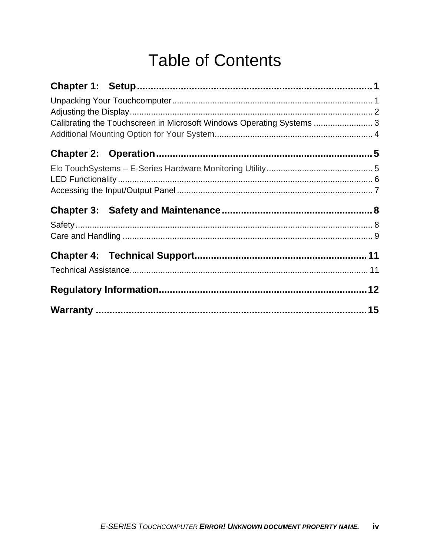# **Table of Contents**

| Calibrating the Touchscreen in Microsoft Windows Operating Systems  3 |  |
|-----------------------------------------------------------------------|--|
|                                                                       |  |
|                                                                       |  |
|                                                                       |  |
|                                                                       |  |
|                                                                       |  |
|                                                                       |  |
|                                                                       |  |
|                                                                       |  |
|                                                                       |  |
|                                                                       |  |
|                                                                       |  |
|                                                                       |  |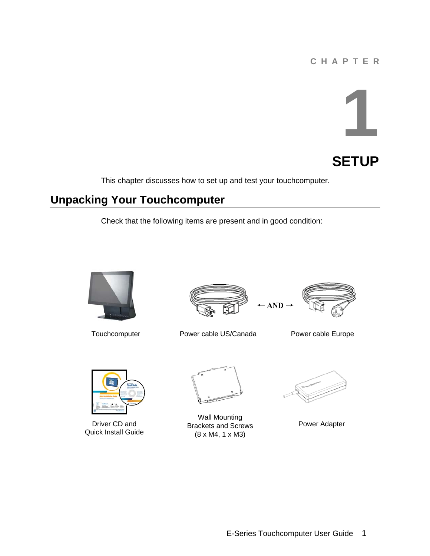# **C H A P T E R**

# **1**



This chapter discusses how to set up and test your touchcomputer.

# **Unpacking Your Touchcomputer**

Check that the following items are present and in good condition:







Power cable Europe



Driver CD and Quick Install Guide

Wall Mounting Brackets and Screws (8 x M4, 1 x M3)



Power Adapter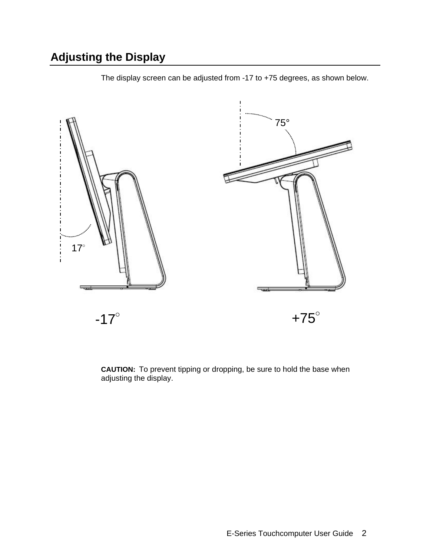# **Adjusting the Display**



The display screen can be adjusted from -17 to +75 degrees, as shown below.

**CAUTION:** To prevent tipping or dropping, be sure to hold the base when adjusting the display.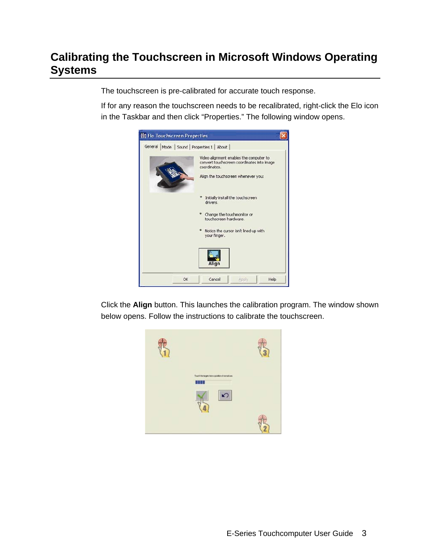# **Calibrating the Touchscreen in Microsoft Windows Operating Systems**

The touchscreen is pre-calibrated for accurate touch response.

If for any reason the touchscreen needs to be recalibrated, right-click the Elo icon in the Taskbar and then click "Properties." The following window opens.



Click the **Align** button. This launches the calibration program. The window shown below opens. Follow the instructions to calibrate the touchscreen.

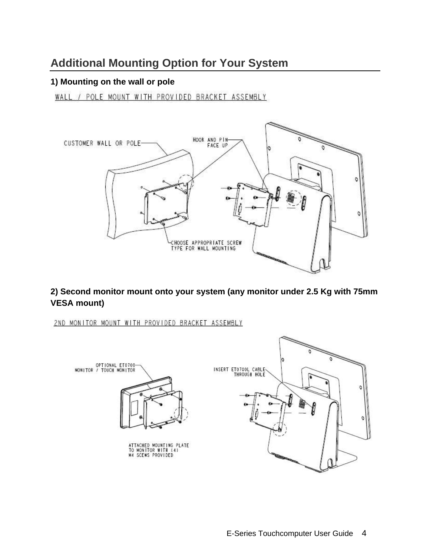# **Additional Mounting Option for Your System**

# **1) Mounting on the wall or pole**

WALL / POLE MOUNT WITH PROVIDED BRACKET ASSEMBLY



**2) Second monitor mount onto your system (any monitor under 2.5 Kg with 75mm VESA mount)**

2ND MONITOR MOUNT WITH PROVIDED BRACKET ASSEMBLY

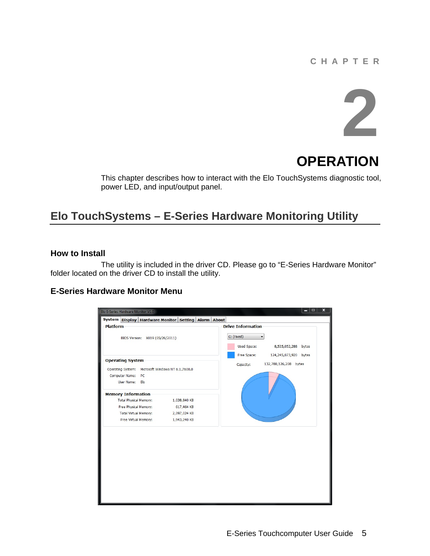# **C H A P T E R**



# **OPERATION**

This chapter describes how to interact with the Elo TouchSystems diagnostic tool, power LED, and input/output panel.

# **Elo TouchSystems – E-Series Hardware Monitoring Utility**

### **How to Install**

 The utility is included in the driver CD. Please go to "E-Series Hardware Monitor" folder located on the driver CD to install the utility.

### **E-Series Hardware Monitor Menu**

| System Display Hardware Monitor Setting Alarm About<br><b>Drive Information</b><br><b>Platform</b><br>C: (Fixed)<br>BIOS Version: X019 (05/26/2011)<br><b>Used Space:</b><br>8,535,052,288 bytes<br>Free Space:<br>124,245,073,920 bytes<br>132,780,126,208 bytes<br>Capacity:<br>Operating System: Microsoft Windows NT 6.1.7600.0<br>Computer Name:<br>PC<br>User Name: Elo<br>Total Physical Memory:<br>1,038,840 KB |
|-------------------------------------------------------------------------------------------------------------------------------------------------------------------------------------------------------------------------------------------------------------------------------------------------------------------------------------------------------------------------------------------------------------------------|
|                                                                                                                                                                                                                                                                                                                                                                                                                         |
| <b>Operating System</b><br><b>Memory Information</b>                                                                                                                                                                                                                                                                                                                                                                    |
|                                                                                                                                                                                                                                                                                                                                                                                                                         |
|                                                                                                                                                                                                                                                                                                                                                                                                                         |
|                                                                                                                                                                                                                                                                                                                                                                                                                         |
|                                                                                                                                                                                                                                                                                                                                                                                                                         |
|                                                                                                                                                                                                                                                                                                                                                                                                                         |
|                                                                                                                                                                                                                                                                                                                                                                                                                         |
| Free Physical Memory:<br>617,464 KB                                                                                                                                                                                                                                                                                                                                                                                     |
| <b>Total Virtual Memory:</b><br>2,097,024 KB                                                                                                                                                                                                                                                                                                                                                                            |
| Free Virtual Memory:<br>1,943,240 KB                                                                                                                                                                                                                                                                                                                                                                                    |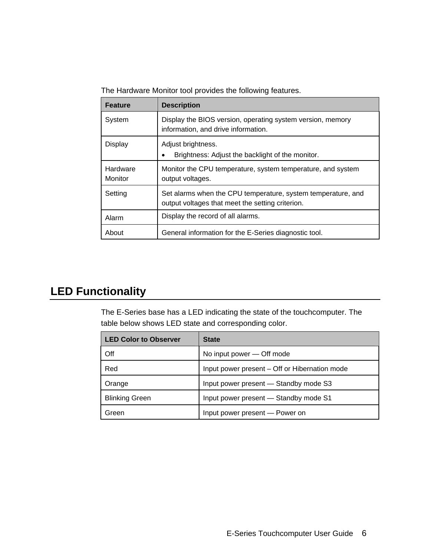The Hardware Monitor tool provides the following features.

| <b>Feature</b>      | <b>Description</b>                                                                                               |
|---------------------|------------------------------------------------------------------------------------------------------------------|
| System              | Display the BIOS version, operating system version, memory<br>information, and drive information.                |
| <b>Display</b>      | Adjust brightness.<br>Brightness: Adjust the backlight of the monitor.                                           |
| Hardware<br>Monitor | Monitor the CPU temperature, system temperature, and system<br>output voltages.                                  |
| Setting             | Set alarms when the CPU temperature, system temperature, and<br>output voltages that meet the setting criterion. |
| Alarm               | Display the record of all alarms.                                                                                |
| About               | General information for the E-Series diagnostic tool.                                                            |

# **LED Functionality**

The E-Series base has a LED indicating the state of the touchcomputer. The table below shows LED state and corresponding color.

| <b>LED Color to Observer</b> | <b>State</b>                                  |
|------------------------------|-----------------------------------------------|
| Off                          | No input power – Off mode                     |
| Red                          | Input power present – Off or Hibernation mode |
| Orange                       | Input power present - Standby mode S3         |
| <b>Blinking Green</b>        | Input power present - Standby mode S1         |
| Green                        | Input power present - Power on                |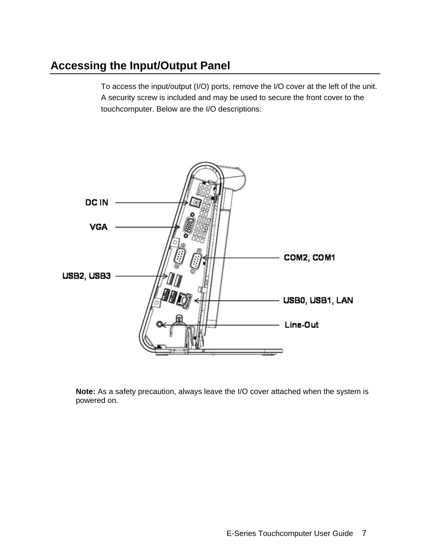# **Accessing the Input/Output Panel**

To access the input/output (I/O) ports, remove the I/O cover at the left of the unit. A security screw is included and may be used to secure the front cover to the touchcomputer. Below are the I/O descriptions:



**Note:** As a safety precaution, always leave the I/O cover attached when the system is powered on.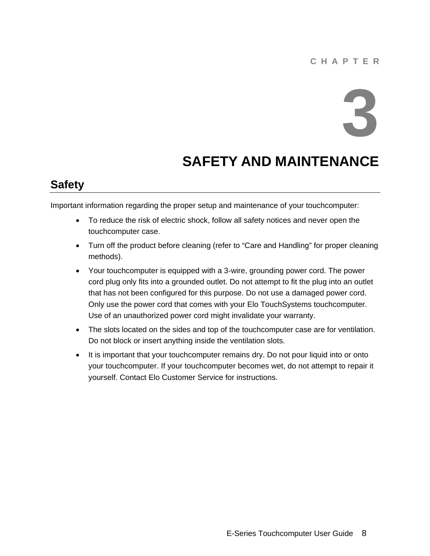# **C H A P T E R**



# **SAFETY AND MAINTENANCE**

# **Safety**

Important information regarding the proper setup and maintenance of your touchcomputer:

- To reduce the risk of electric shock, follow all safety notices and never open the touchcomputer case.
- Turn off the product before cleaning (refer to "Care and Handling" for proper cleaning methods).
- Your touchcomputer is equipped with a 3-wire, grounding power cord. The power cord plug only fits into a grounded outlet. Do not attempt to fit the plug into an outlet that has not been configured for this purpose. Do not use a damaged power cord. Only use the power cord that comes with your Elo TouchSystems touchcomputer. Use of an unauthorized power cord might invalidate your warranty.
- The slots located on the sides and top of the touchcomputer case are for ventilation. Do not block or insert anything inside the ventilation slots.
- It is important that your touchcomputer remains dry. Do not pour liquid into or onto your touchcomputer. If your touchcomputer becomes wet, do not attempt to repair it yourself. Contact Elo Customer Service for instructions.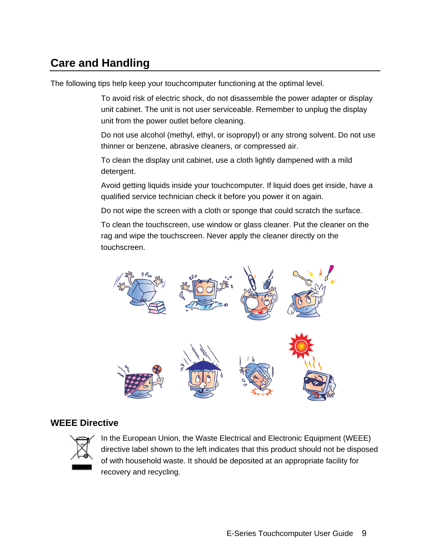# **Care and Handling**

The following tips help keep your touchcomputer functioning at the optimal level.

To avoid risk of electric shock, do not disassemble the power adapter or display unit cabinet. The unit is not user serviceable. Remember to unplug the display unit from the power outlet before cleaning.

Do not use alcohol (methyl, ethyl, or isopropyl) or any strong solvent. Do not use thinner or benzene, abrasive cleaners, or compressed air.

To clean the display unit cabinet, use a cloth lightly dampened with a mild detergent.

Avoid getting liquids inside your touchcomputer. If liquid does get inside, have a qualified service technician check it before you power it on again.

Do not wipe the screen with a cloth or sponge that could scratch the surface.

To clean the touchscreen, use window or glass cleaner. Put the cleaner on the rag and wipe the touchscreen. Never apply the cleaner directly on the touchscreen.



# **WEEE Directive**



In the European Union, the Waste Electrical and Electronic Equipment (WEEE) directive label shown to the left indicates that this product should not be disposed of with household waste. It should be deposited at an appropriate facility for recovery and recycling.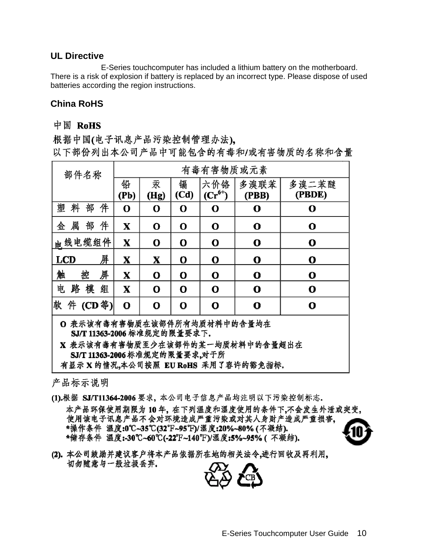### **UL Directive**

 E-Series touchcomputer has included a lithium battery on the motherboard. There is a risk of explosion if battery is replaced by an incorrect type. Please dispose of used batteries according the region instructions.

# **China RoHS**

# 中国 RoHS

根据中国(电子讯息产品污染控制管理办法)。 以下部份列出本公司产品中可能包含的有毒和/或有害物质的名称和含量

| 部件名称             | 有毒有害物质或元素   |             |             |                             |               |                 |
|------------------|-------------|-------------|-------------|-----------------------------|---------------|-----------------|
|                  | 铅<br>(Pb)   | 汞<br>(Hg)   | 镉<br>(Cd)   | 六价铬<br>$(\mathbf{Cr}^{6+})$ | 多溴联苯<br>(PBB) | 多溴二苯醚<br>(PBDE) |
| 塑<br>部<br>件<br>料 | O           | O           | O           | O                           | O             | O               |
| 件<br>属<br>部<br>金 | X           | $\mathbf O$ | $\mathbf 0$ | O                           | $\mathbf o$   | $\mathbf{o}$    |
| 电线电缆组件           | $\mathbf X$ | $\mathbf 0$ | $\mathbf 0$ | $\mathbf 0$                 | $\mathbf{o}$  | $\mathbf 0$     |
| 屏<br><b>LCD</b>  | X           | X           | $\mathbf 0$ | $\mathbf 0$                 | $\mathbf o$   | O               |
| 触<br>控<br>屏      | $\mathbf X$ | $\mathbf O$ | $\mathbf O$ | $\mathbf O$                 | $\mathbf O$   | $\mathbf O$     |
| 电<br>模<br>路<br>组 | $\mathbf X$ | $\mathbf 0$ | $\mathbf 0$ | $\mathbf 0$                 | $\mathbf 0$   | $\mathbf 0$     |
| 软件 (CD等)         | $\mathbf O$ | $\mathbf O$ | $\mathbf 0$ | O                           | O             | О               |

O 表示该有毒有害物质在该部件所有均质材料中的含量均在 SJ/T 11363-2006 标准规定的限量要求下.

X 表示该有毒有害物质至少在该部件的某一均质材料中的含量超出在 SJ/T 11363-2006 标准规定的限量要求,对于所

有显示 X 的情况,本公司按照 EURoHS 采用了容许的豁免指标,

产品标示说明

- (1).根据 SJ/T11364-2006 要求, 本公司电子信息产品均注明以下污染控制标志. 本产品环保使用期限为10年,在下列温度和湿度使用的条件下,不会发生外泄或突变, 使用该电子讯息产品不会对环境造成严重污染或对其人身财产造成严重损害, \*操作条件 温度:0℃~35℃(32°F~95°F)/湿度:20%~80%(不凝结). \*储存条件 温度:-30℃~60℃(-22℉~140℉)/湿度:5%~95%(不凝结).
- (2),本公司鼓励并建议客户将本产品依据所在地的相关法令,进行回收及再利用。 切勿随意与一般垃圾丢弃.

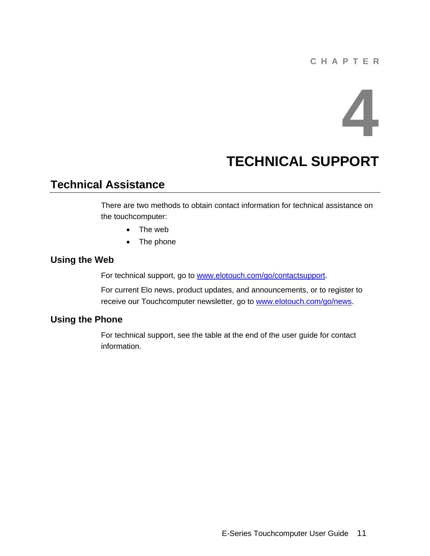# **C H A P T E R**

# **4**

# **TECHNICAL SUPPORT**

# **Technical Assistance**

There are two methods to obtain contact information for technical assistance on the touchcomputer:

- The web
- The phone

# **Using the Web**

For technical support, go to www.elotouch.com/go/contactsupport.

For current Elo news, product updates, and announcements, or to register to receive our Touchcomputer newsletter, go to www.elotouch.com/go/news.

# **Using the Phone**

For technical support, see the table at the end of the user guide for contact information.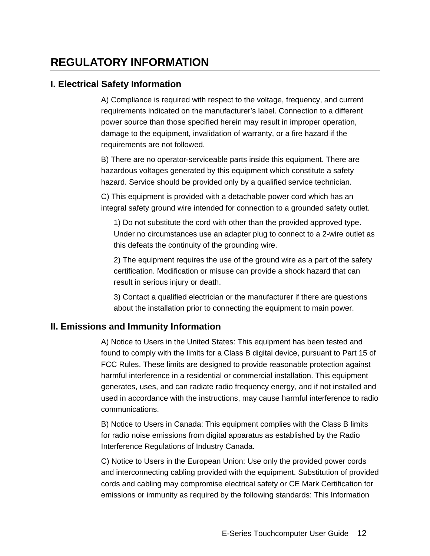# **REGULATORY INFORMATION**

# **I. Electrical Safety Information**

A) Compliance is required with respect to the voltage, frequency, and current requirements indicated on the manufacturer's label. Connection to a different power source than those specified herein may result in improper operation, damage to the equipment, invalidation of warranty, or a fire hazard if the requirements are not followed.

B) There are no operator-serviceable parts inside this equipment. There are hazardous voltages generated by this equipment which constitute a safety hazard. Service should be provided only by a qualified service technician.

C) This equipment is provided with a detachable power cord which has an integral safety ground wire intended for connection to a grounded safety outlet.

1) Do not substitute the cord with other than the provided approved type. Under no circumstances use an adapter plug to connect to a 2-wire outlet as this defeats the continuity of the grounding wire.

2) The equipment requires the use of the ground wire as a part of the safety certification. Modification or misuse can provide a shock hazard that can result in serious injury or death.

3) Contact a qualified electrician or the manufacturer if there are questions about the installation prior to connecting the equipment to main power.

# **II. Emissions and Immunity Information**

A) Notice to Users in the United States: This equipment has been tested and found to comply with the limits for a Class B digital device, pursuant to Part 15 of FCC Rules. These limits are designed to provide reasonable protection against harmful interference in a residential or commercial installation. This equipment generates, uses, and can radiate radio frequency energy, and if not installed and used in accordance with the instructions, may cause harmful interference to radio communications.

B) Notice to Users in Canada: This equipment complies with the Class B limits for radio noise emissions from digital apparatus as established by the Radio Interference Regulations of Industry Canada.

C) Notice to Users in the European Union: Use only the provided power cords and interconnecting cabling provided with the equipment. Substitution of provided cords and cabling may compromise electrical safety or CE Mark Certification for emissions or immunity as required by the following standards: This Information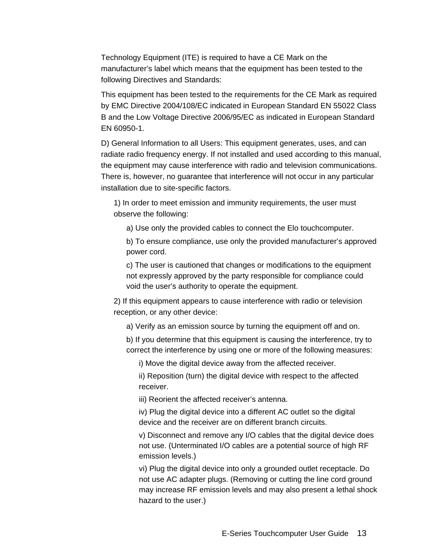Technology Equipment (ITE) is required to have a CE Mark on the manufacturer's label which means that the equipment has been tested to the following Directives and Standards:

This equipment has been tested to the requirements for the CE Mark as required by EMC Directive 2004/108/EC indicated in European Standard EN 55022 Class B and the Low Voltage Directive 2006/95/EC as indicated in European Standard EN 60950-1.

D) General Information to all Users: This equipment generates, uses, and can radiate radio frequency energy. If not installed and used according to this manual, the equipment may cause interference with radio and television communications. There is, however, no guarantee that interference will not occur in any particular installation due to site-specific factors.

1) In order to meet emission and immunity requirements, the user must observe the following:

a) Use only the provided cables to connect the Elo touchcomputer.

b) To ensure compliance, use only the provided manufacturer's approved power cord.

c) The user is cautioned that changes or modifications to the equipment not expressly approved by the party responsible for compliance could void the user's authority to operate the equipment.

2) If this equipment appears to cause interference with radio or television reception, or any other device:

a) Verify as an emission source by turning the equipment off and on.

b) If you determine that this equipment is causing the interference, try to correct the interference by using one or more of the following measures:

i) Move the digital device away from the affected receiver.

ii) Reposition (turn) the digital device with respect to the affected receiver.

iii) Reorient the affected receiver's antenna.

iv) Plug the digital device into a different AC outlet so the digital device and the receiver are on different branch circuits.

v) Disconnect and remove any I/O cables that the digital device does not use. (Unterminated I/O cables are a potential source of high RF emission levels.)

vi) Plug the digital device into only a grounded outlet receptacle. Do not use AC adapter plugs. (Removing or cutting the line cord ground may increase RF emission levels and may also present a lethal shock hazard to the user.)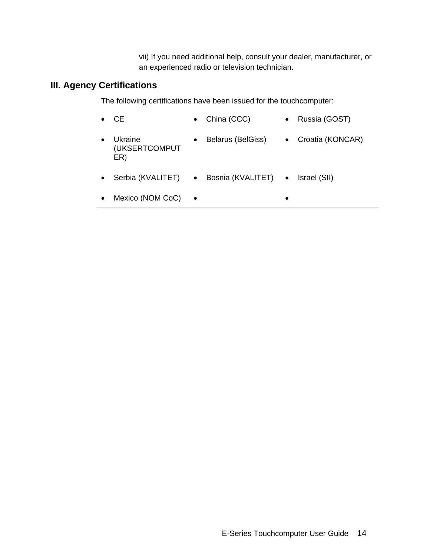vii) If you need additional help, consult your dealer, manufacturer, or an experienced radio or television technician.

# **III. Agency Certifications**

The following certifications have been issued for the touchcomputer:

|           | -CE                             | China (CCC)<br>$\bullet$         | Russia (GOST)<br>$\bullet$    |
|-----------|---------------------------------|----------------------------------|-------------------------------|
|           | Ukraine<br>(UKSERTCOMPUT<br>ER) | Belarus (BelGiss)<br>$\bullet$   | Croatia (KONCAR)<br>$\bullet$ |
| $\bullet$ | Serbia (KVALITET) •             | Bosnia (KVALITET) . Israel (SII) |                               |
| $\bullet$ | Mexico (NOM CoC)                |                                  |                               |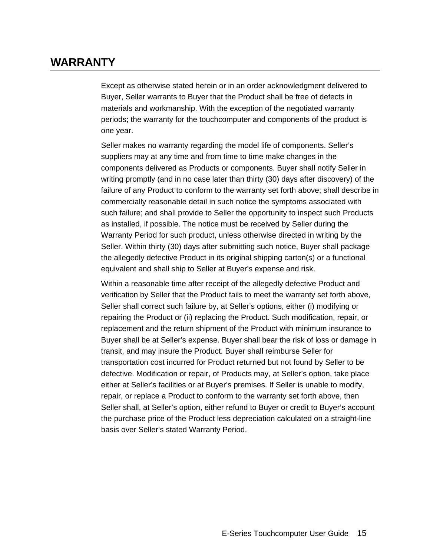# **WARRANTY**

Except as otherwise stated herein or in an order acknowledgment delivered to Buyer, Seller warrants to Buyer that the Product shall be free of defects in materials and workmanship. With the exception of the negotiated warranty periods; the warranty for the touchcomputer and components of the product is one year.

Seller makes no warranty regarding the model life of components. Seller's suppliers may at any time and from time to time make changes in the components delivered as Products or components. Buyer shall notify Seller in writing promptly (and in no case later than thirty (30) days after discovery) of the failure of any Product to conform to the warranty set forth above; shall describe in commercially reasonable detail in such notice the symptoms associated with such failure; and shall provide to Seller the opportunity to inspect such Products as installed, if possible. The notice must be received by Seller during the Warranty Period for such product, unless otherwise directed in writing by the Seller. Within thirty (30) days after submitting such notice, Buyer shall package the allegedly defective Product in its original shipping carton(s) or a functional equivalent and shall ship to Seller at Buyer's expense and risk.

Within a reasonable time after receipt of the allegedly defective Product and verification by Seller that the Product fails to meet the warranty set forth above, Seller shall correct such failure by, at Seller's options, either (i) modifying or repairing the Product or (ii) replacing the Product. Such modification, repair, or replacement and the return shipment of the Product with minimum insurance to Buyer shall be at Seller's expense. Buyer shall bear the risk of loss or damage in transit, and may insure the Product. Buyer shall reimburse Seller for transportation cost incurred for Product returned but not found by Seller to be defective. Modification or repair, of Products may, at Seller's option, take place either at Seller's facilities or at Buyer's premises. If Seller is unable to modify, repair, or replace a Product to conform to the warranty set forth above, then Seller shall, at Seller's option, either refund to Buyer or credit to Buyer's account the purchase price of the Product less depreciation calculated on a straight-line basis over Seller's stated Warranty Period.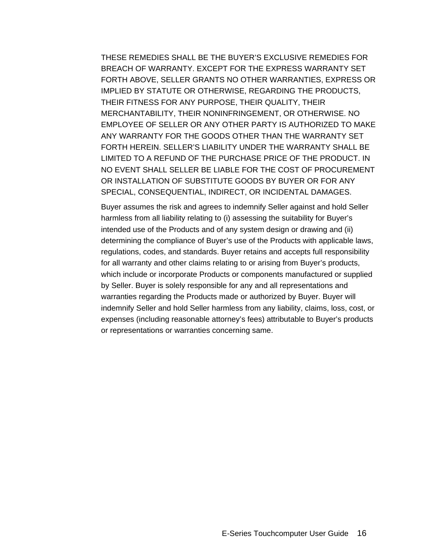THESE REMEDIES SHALL BE THE BUYER'S EXCLUSIVE REMEDIES FOR BREACH OF WARRANTY. EXCEPT FOR THE EXPRESS WARRANTY SET FORTH ABOVE, SELLER GRANTS NO OTHER WARRANTIES, EXPRESS OR IMPLIED BY STATUTE OR OTHERWISE, REGARDING THE PRODUCTS, THEIR FITNESS FOR ANY PURPOSE, THEIR QUALITY, THEIR MERCHANTABILITY, THEIR NONINFRINGEMENT, OR OTHERWISE. NO EMPLOYEE OF SELLER OR ANY OTHER PARTY IS AUTHORIZED TO MAKE ANY WARRANTY FOR THE GOODS OTHER THAN THE WARRANTY SET FORTH HEREIN. SELLER'S LIABILITY UNDER THE WARRANTY SHALL BE LIMITED TO A REFUND OF THE PURCHASE PRICE OF THE PRODUCT. IN NO EVENT SHALL SELLER BE LIABLE FOR THE COST OF PROCUREMENT OR INSTALLATION OF SUBSTITUTE GOODS BY BUYER OR FOR ANY SPECIAL, CONSEQUENTIAL, INDIRECT, OR INCIDENTAL DAMAGES.

Buyer assumes the risk and agrees to indemnify Seller against and hold Seller harmless from all liability relating to (i) assessing the suitability for Buyer's intended use of the Products and of any system design or drawing and (ii) determining the compliance of Buyer's use of the Products with applicable laws, regulations, codes, and standards. Buyer retains and accepts full responsibility for all warranty and other claims relating to or arising from Buyer's products, which include or incorporate Products or components manufactured or supplied by Seller. Buyer is solely responsible for any and all representations and warranties regarding the Products made or authorized by Buyer. Buyer will indemnify Seller and hold Seller harmless from any liability, claims, loss, cost, or expenses (including reasonable attorney's fees) attributable to Buyer's products or representations or warranties concerning same.